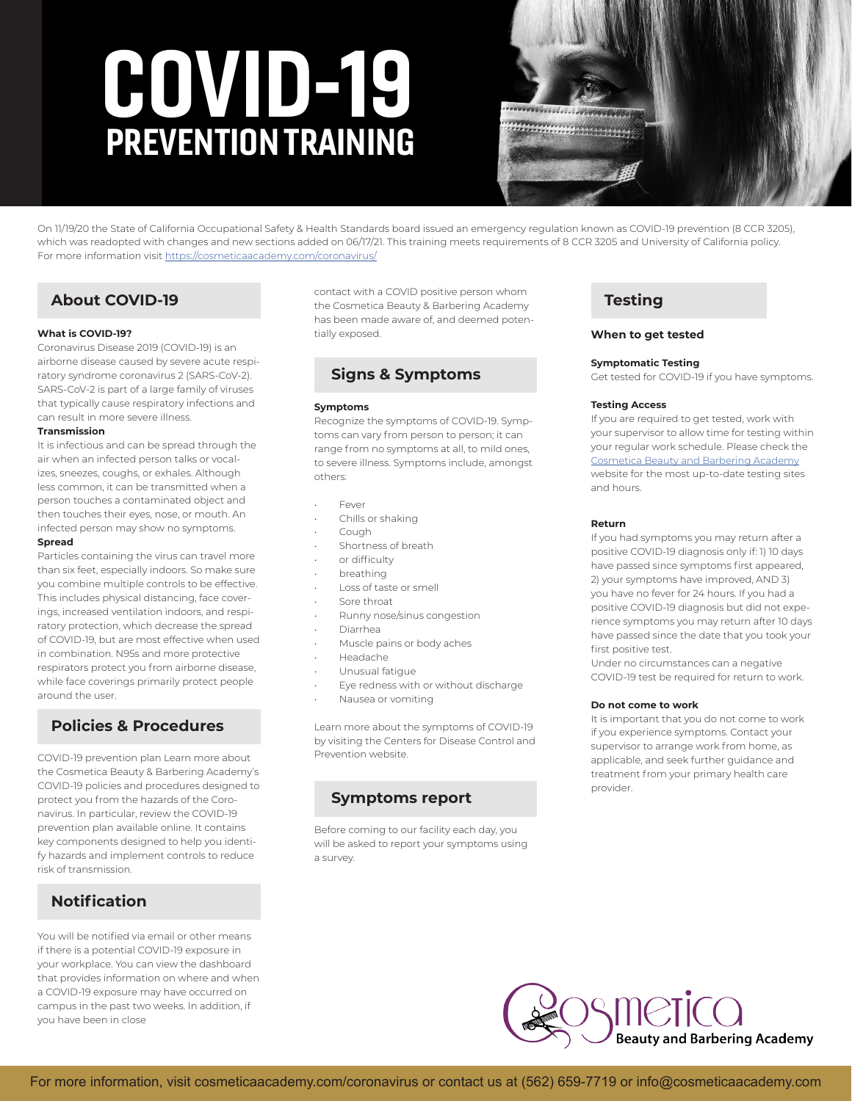# COVID-19 PREVENTION TRAINING



On 11/19/20 the State of California Occupational Safety & Health Standards board issued an emergency regulation known as COVID-19 prevention (8 CCR 3205), which was readopted with changes and new sections added on 06/17/21. This training meets requirements of 8 CCR 3205 and University of California policy. For more information visit https://cosmeticaacademy.com/coronavirus/

### **What is COVID-19?**

Coronavirus Disease 2019 (COVID-19) is an airborne disease caused by severe acute respiratory syndrome coronavirus 2 (SARS-CoV-2). SARS-CoV-2 is part of a large family of viruses that typically cause respiratory infections and can result in more severe illness.

#### **Transmission**

It is infectious and can be spread through the air when an infected person talks or vocalizes, sneezes, coughs, or exhales. Although less common, it can be transmitted when a person touches a contaminated object and then touches their eyes, nose, or mouth. An infected person may show no symptoms.

### **Spread**

Particles containing the virus can travel more than six feet, especially indoors. So make sure you combine multiple controls to be effective. This includes physical distancing, face coverings, increased ventilation indoors, and respiratory protection, which decrease the spread of COVID-19, but are most effective when used in combination. N95s and more protective respirators protect you from airborne disease, while face coverings primarily protect people around the user.

# **Policies & Procedures**

COVID-19 prevention plan Learn more about the Cosmetica Beauty & Barbering Academy's COVID-19 policies and procedures designed to protect you from the hazards of the Coronavirus. In particular, review the COVID-19 prevention plan available online. It contains key components designed to help you identify hazards and implement controls to reduce risk of transmission.

# **Notification**

You will be notified via email or other means if there is a potential COVID-19 exposure in your workplace. You can view the dashboard that provides information on where and when a COVID-19 exposure may have occurred on campus in the past two weeks. In addition, if you have been in close

contact with a COVID positive person whom the Cosmetica Beauty & Barbering Academy **About COVID-19 Testing** has been made aware of, and deemed potentially exposed.

# **Signs & Symptoms**

#### **Symptoms**

Recognize the symptoms of COVID-19. Symptoms can vary from person to person; it can range from no symptoms at all, to mild ones, to severe illness. Symptoms include, amongst others:

- Fever
	- Chills or shaking
	- Cough
	- Shortness of breath
	- or difficulty
	- breathing
	- Loss of taste or smell
	- Sore throat
	- Runny nose/sinus congestion
	- Diarrhea
	- Muscle pains or body aches
	- Headache
	- Unusual fatigue
	- Eye redness with or without discharge
	- Nausea or vomiting

Learn more about the symptoms of COVID-19 by visiting the Centers for Disease Control and Prevention website.

## **Symptoms report**

Before coming to our facility each day, you will be asked to report your symptoms using a survey.

### **When to get tested**

#### **Symptomatic Testing**

Get tested for COVID-19 if you have symptoms.

#### **Testing Access**

If you are required to get tested, work with your supervisor to allow time for testing within your regular work schedule. Please check the Cosmetica Beauty and Barbering Academy website for the most up-to-date testing sites and hours.

### **Return**

If you had symptoms you may return after a positive COVID-19 diagnosis only if: 1) 10 days have passed since symptoms first appeared, 2) your symptoms have improved, AND 3) you have no fever for 24 hours. If you had a positive COVID-19 diagnosis but did not experience symptoms you may return after 10 days have passed since the date that you took your first positive test.

Under no circumstances can a negative COVID-19 test be required for return to work.

### **Do not come to work**

It is important that you do not come to work if you experience symptoms. Contact your supervisor to arrange work from home, as applicable, and seek further guidance and treatment from your primary health care provider.